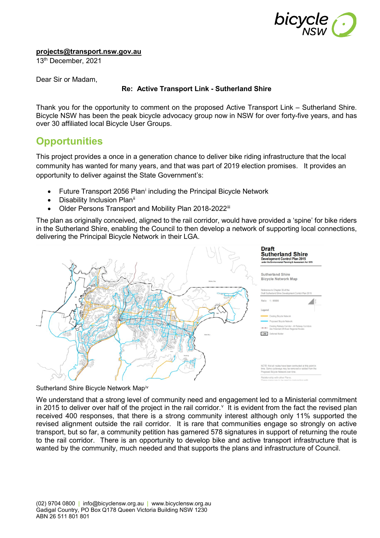

**[projects@transport.nsw.gov.au](mailto:projects@transport.nsw.gov.au)**

13th December, 2021

Dear Sir or Madam,

## **Re: Active Transport Link - Sutherland Shire**

Thank you for the opportunity to comment on the proposed Active Transport Link – Sutherland Shire. Bicycle NSW has been the peak bicycle advocacy group now in NSW for over forty-five years, and has over 30 affiliated local Bicycle User Groups.

## **Opportunities**

This project provides a once in a generation chance to deliver bike riding infrastructure that the local community has wanted for many years, and that was part of 2019 election promises. It provides an opportunity to deliver against the State Government's:

- Future Transport 2056 Plan<sup>[i](#page-2-0)</sup> including the Principal Bicycle Network
- Disability Inclusion Plan<sup>[ii](#page-2-1)</sup>
- Older Persons Transport and Mobility Plan 2018-2022[iii](#page-2-2)

The plan as originally conceived, aligned to the rail corridor, would have provided a 'spine' for bike riders in the Sutherland Shire, enabling the Council to then develop a network of supporting local connections, delivering the Principal Bicycle Network in their LGA.



Sutherland Shire Bicycle Network Map[iv](#page-3-0)

We understand that a strong level of community need and engagement led to a Ministerial commitment in 2015 to deli[v](#page-3-1)er over half of the project in the rail corridor. $<sup>v</sup>$  It is evident from the fact the revised plan</sup> received 400 responses, that there is a strong community interest although only 11% supported the revised alignment outside the rail corridor. It is rare that communities engage so strongly on active transport, but so far, a community petition has garnered 578 signatures in support of returning the route to the rail corridor. There is an opportunity to develop bike and active transport infrastructure that is wanted by the community, much needed and that supports the plans and infrastructure of Council.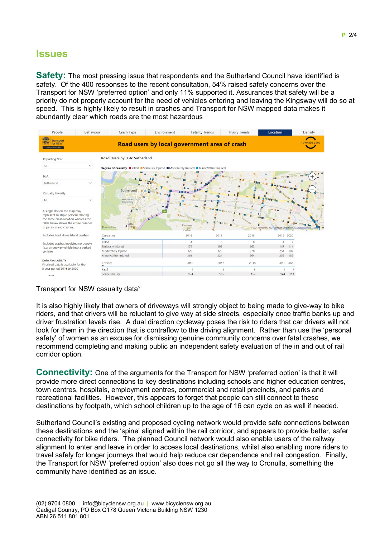## **Issues**

**Safety:** The most pressing issue that respondents and the Sutherland Council have identified is safety. Of the 400 responses to the recent consultation, 54% raised safety concerns over the Transport for NSW 'preferred option' and only 11% supported it. Assurances that safety will be a priority do not properly account for the need of vehicles entering and leaving the Kingsway will do so at speed. This is highly likely to result in crashes and Transport for NSW mapped data makes it abundantly clear which roads are the most hazardous



## Transport for NSW casualty data<sup>[vi](#page-3-2)</sup>

It is also highly likely that owners of driveways will strongly object to being made to give-way to bike riders, and that drivers will be reluctant to give way at side streets, especially once traffic banks up and driver frustration levels rise. A dual direction cycleway poses the risk to riders that car drivers will not look for them in the direction that is contraflow to the driving alignment. Rather than use the 'personal safety' of women as an excuse for dismissing genuine community concerns over fatal crashes, we recommend completing and making public an independent safety evaluation of the in and out of rail corridor option.

**Connectivity:** One of the arguments for the Transport for NSW 'preferred option' is that it will provide more direct connections to key destinations including schools and higher education centres, town centres, hospitals, employment centres, commercial and retail precincts, and parks and recreational facilities. However, this appears to forget that people can still connect to these destinations by footpath, which school children up to the age of 16 can cycle on as well if needed.

Sutherland Council's existing and proposed cycling network would provide safe connections between these destinations and the 'spine' aligned within the rail corridor, and appears to provide better, safer connectivity for bike riders. The planned Council network would also enable users of the railway alignment to enter and leave in order to access local destinations, whilst also enabling more riders to travel safely for longer journeys that would help reduce car dependence and rail congestion. Finally, the Transport for NSW 'preferred option' also does not go all the way to Cronulla, something the community have identified as an issue.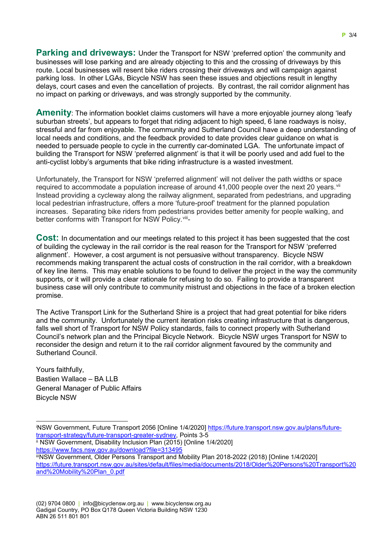**Parking and driveways:** Under the Transport for NSW 'preferred option' the community and businesses will lose parking and are already objecting to this and the crossing of driveways by this route. Local businesses will resent bike riders crossing their driveways and will campaign against parking loss. In other LGAs, Bicycle NSW has seen these issues and objections result in lengthy delays, court cases and even the cancellation of projects. By contrast, the rail corridor alignment has no impact on parking or driveways, and was strongly supported by the community.

**Amenity**: The information booklet claims customers will have a more enjoyable journey along 'leafy suburban streets', but appears to forget that riding adjacent to high speed, 6 lane roadways is noisy, stressful and far from enjoyable. The community and Sutherland Council have a deep understanding of local needs and conditions, and the feedback provided to date provides clear guidance on what is needed to persuade people to cycle in the currently car-dominated LGA. The unfortunate impact of building the Transport for NSW 'preferred alignment' is that it will be poorly used and add fuel to the anti-cyclist lobby's arguments that bike riding infrastructure is a wasted investment.

Unfortunately, the Transport for NSW 'preferred alignment' will not deliver the path widths or space required to accommodate a population increase of around 41,000 people over the next 20 years. Vii Instead providing a cycleway along the railway alignment, separated from pedestrians, and upgrading local pedestrian infrastructure, offers a more 'future-proof' treatment for the planned population increases. Separating bike riders from pedestrians provides better amenity for people walking, and better conforms with Transport for NSW Policy.<sup>[viii](#page-3-4)</sup>-

**Cost:** In documentation and our meetings related to this project it has been suggested that the cost of building the cycleway in the rail corridor is the real reason for the Transport for NSW 'preferred alignment'. However, a cost argument is not persuasive without transparency. Bicycle NSW recommends making transparent the actual costs of construction in the rail corridor, with a breakdown of key line items. This may enable solutions to be found to deliver the project in the way the community supports, or it will provide a clear rationale for refusing to do so. Failing to provide a transparent business case will only contribute to community mistrust and objections in the face of a broken election promise.

The Active Transport Link for the Sutherland Shire is a project that had great potential for bike riders and the community. Unfortunately the current iteration risks creating infrastructure that is dangerous, falls well short of Transport for NSW Policy standards, fails to connect properly with Sutherland Council's network plan and the Principal Bicycle Network. Bicycle NSW urges Transport for NSW to reconsider the design and return it to the rail corridor alignment favoured by the community and Sutherland Council.

Yours faithfully, Bastien Wallace – BA LLB General Manager of Public Affairs Bicycle NSW

<span id="page-2-1"></span>ii NSW Government, Disability Inclusion Plan (2015) [Online 1/4/2020] <https://www.facs.nsw.gov.au/download?file=313495>

<span id="page-2-2"></span>iiiNSW Government, Older Persons Transport and Mobility Plan 2018-2022 (2018) [Online 1/4/2020] [https://future.transport.nsw.gov.au/sites/default/files/media/documents/2018/Older%20Persons%20Transport%20](https://future.transport.nsw.gov.au/sites/default/files/media/documents/2018/Older%20Persons%20Transport%20and%20Mobility%20Plan_0.pdf) [and%20Mobility%20Plan\\_0.pdf](https://future.transport.nsw.gov.au/sites/default/files/media/documents/2018/Older%20Persons%20Transport%20and%20Mobility%20Plan_0.pdf)

<span id="page-2-0"></span>i NSW Government, Future Transport 2056 [Online 1/4/2020] [https://future.transport.nsw.gov.au/plans/future](https://future.transport.nsw.gov.au/plans/future-transport-strategy/future-transport-greater-sydney)[transport-strategy/future-transport-greater-sydney,](https://future.transport.nsw.gov.au/plans/future-transport-strategy/future-transport-greater-sydney) Points 3-5 -